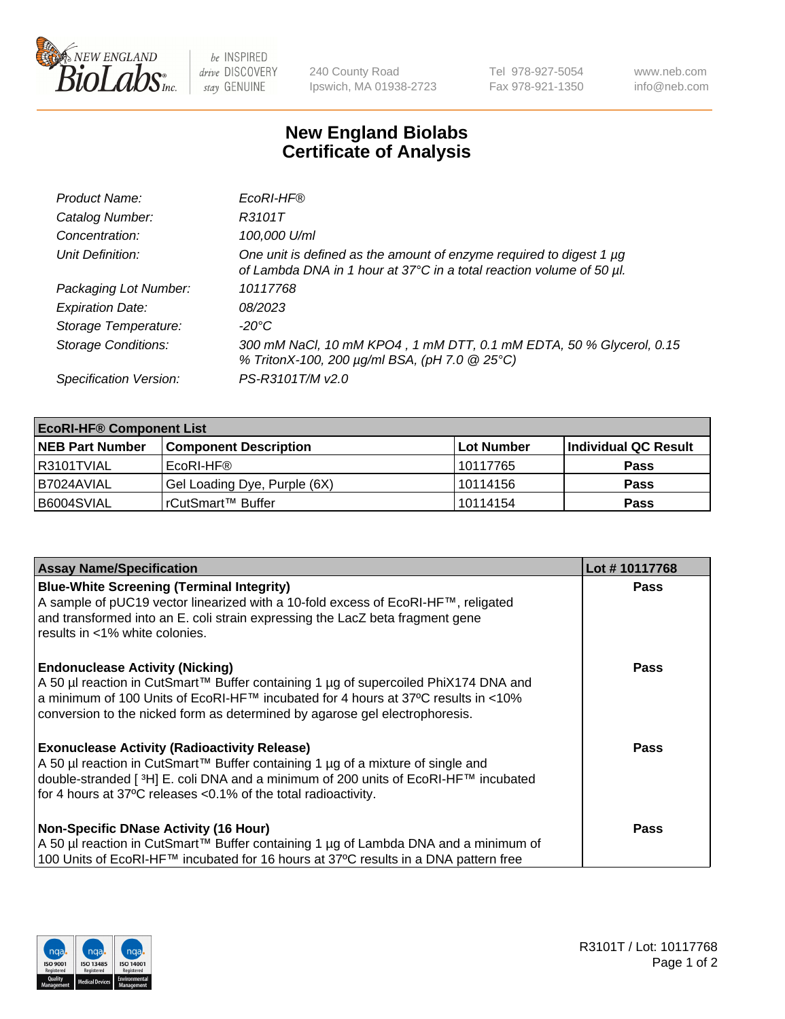

be INSPIRED drive DISCOVERY stay GENUINE

240 County Road Ipswich, MA 01938-2723 Tel 978-927-5054 Fax 978-921-1350 www.neb.com info@neb.com

## **New England Biolabs Certificate of Analysis**

| Product Name:              | EcoRI-HF®                                                                                                                                   |
|----------------------------|---------------------------------------------------------------------------------------------------------------------------------------------|
| Catalog Number:            | R3101T                                                                                                                                      |
| Concentration:             | 100,000 U/ml                                                                                                                                |
| Unit Definition:           | One unit is defined as the amount of enzyme required to digest 1 µg<br>of Lambda DNA in 1 hour at 37°C in a total reaction volume of 50 µl. |
| Packaging Lot Number:      | 10117768                                                                                                                                    |
| <b>Expiration Date:</b>    | 08/2023                                                                                                                                     |
| Storage Temperature:       | -20°C                                                                                                                                       |
| <b>Storage Conditions:</b> | 300 mM NaCl, 10 mM KPO4, 1 mM DTT, 0.1 mM EDTA, 50 % Glycerol, 0.15<br>% TritonX-100, 200 µg/ml BSA, (pH 7.0 @ 25°C)                        |
| Specification Version:     | PS-R3101T/M v2.0                                                                                                                            |

| <b>EcoRI-HF® Component List</b> |                              |                   |                      |  |  |
|---------------------------------|------------------------------|-------------------|----------------------|--|--|
| <b>NEB Part Number</b>          | <b>Component Description</b> | <b>Lot Number</b> | Individual QC Result |  |  |
| I R3101TVIAL                    | EcoRI-HF®                    | 10117765          | <b>Pass</b>          |  |  |
| B7024AVIAL                      | Gel Loading Dye, Purple (6X) | 10114156          | <b>Pass</b>          |  |  |
| B6004SVIAL                      | l rCutSmart™ Buffer          | 10114154          | <b>Pass</b>          |  |  |

| <b>Assay Name/Specification</b>                                                                                                                                                                                                                                                                    | Lot #10117768 |
|----------------------------------------------------------------------------------------------------------------------------------------------------------------------------------------------------------------------------------------------------------------------------------------------------|---------------|
| <b>Blue-White Screening (Terminal Integrity)</b><br>A sample of pUC19 vector linearized with a 10-fold excess of EcoRI-HF™, religated<br>and transformed into an E. coli strain expressing the LacZ beta fragment gene<br>results in <1% white colonies.                                           | <b>Pass</b>   |
| <b>Endonuclease Activity (Nicking)</b><br>A 50 µl reaction in CutSmart™ Buffer containing 1 µg of supercoiled PhiX174 DNA and<br> a minimum of 100 Units of EcoRI-HF™ incubated for 4 hours at 37°C results in <10%<br>conversion to the nicked form as determined by agarose gel electrophoresis. | <b>Pass</b>   |
| <b>Exonuclease Activity (Radioactivity Release)</b><br>A 50 µl reaction in CutSmart™ Buffer containing 1 µg of a mixture of single and<br> double-stranded [3H] E. coli DNA and a minimum of 200 units of EcoRI-HF™ incubated<br>for 4 hours at 37°C releases <0.1% of the total radioactivity.    | Pass          |
| <b>Non-Specific DNase Activity (16 Hour)</b><br>  A 50 µl reaction in CutSmart™ Buffer containing 1 µg of Lambda DNA and a minimum of<br>100 Units of EcoRI-HF™ incubated for 16 hours at 37°C results in a DNA pattern free                                                                       | Pass          |